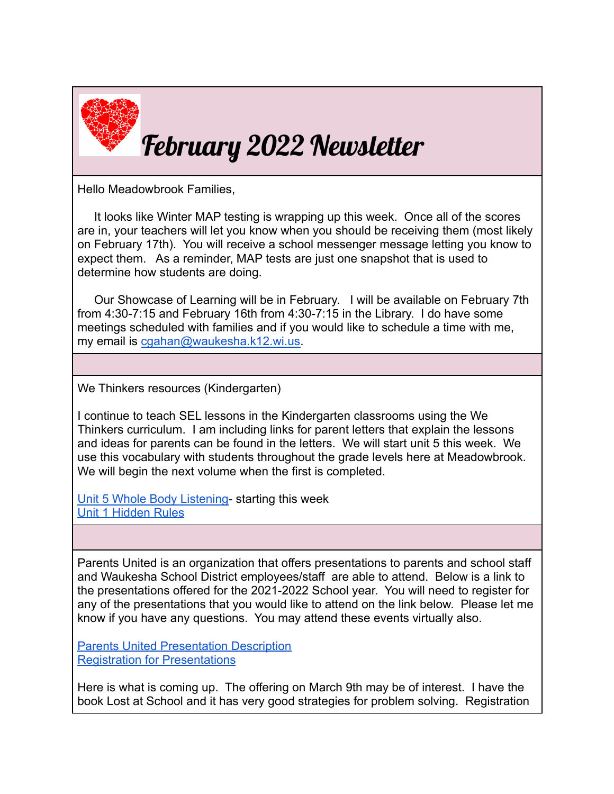

Hello Meadowbrook Families,

It looks like Winter MAP testing is wrapping up this week. Once all of the scores are in, your teachers will let you know when you should be receiving them (most likely on February 17th). You will receive a school messenger message letting you know to expect them. As a reminder, MAP tests are just one snapshot that is used to determine how students are doing.

Our Showcase of Learning will be in February. I will be available on February 7th from 4:30-7:15 and February 16th from 4:30-7:15 in the Library. I do have some meetings scheduled with families and if you would like to schedule a time with me, my email is [cgahan@waukesha.k12.wi.us.](mailto:cgahan@waukesha.k12.wi.us)

We Thinkers resources (Kindergarten)

I continue to teach SEL lessons in the Kindergarten classrooms using the We Thinkers curriculum. I am including links for parent letters that explain the lessons and ideas for parents can be found in the letters. We will start unit 5 this week. We use this vocabulary with students throughout the grade levels here at Meadowbrook. We will begin the next volume when the first is completed.

[Unit 5 Whole Body Listening](https://www.graftonps.org/cms/lib/MA01907584/Centricity/Domain/331/Family%20Letter_5.pdf)- starting this week [Unit 1 Hidden Rules](https://www.mounthorebschools.org/faculty/tepenichole/tifyletters/Vol%202%20Unit%206%20Family%20Letter.pdf)

Parents United is an organization that offers presentations to parents and school staff and Waukesha School District employees/staff are able to attend. Below is a link to the presentations offered for the 2021-2022 School year. You will need to register for any of the presentations that you would like to attend on the link below. Please let me know if you have any questions. You may attend these events virtually also.

[Parents United Presentation Description](https://docs.google.com/document/d/1d_wxei06XCDofNDHJk8PaJMw0mOB3HKBG1uvtyOeU8M/edit) [Registration for Presentations](http://parentsunitedwi.org/register-now/)

Here is what is coming up. The offering on March 9th may be of interest. I have the book Lost at School and it has very good strategies for problem solving. Registration